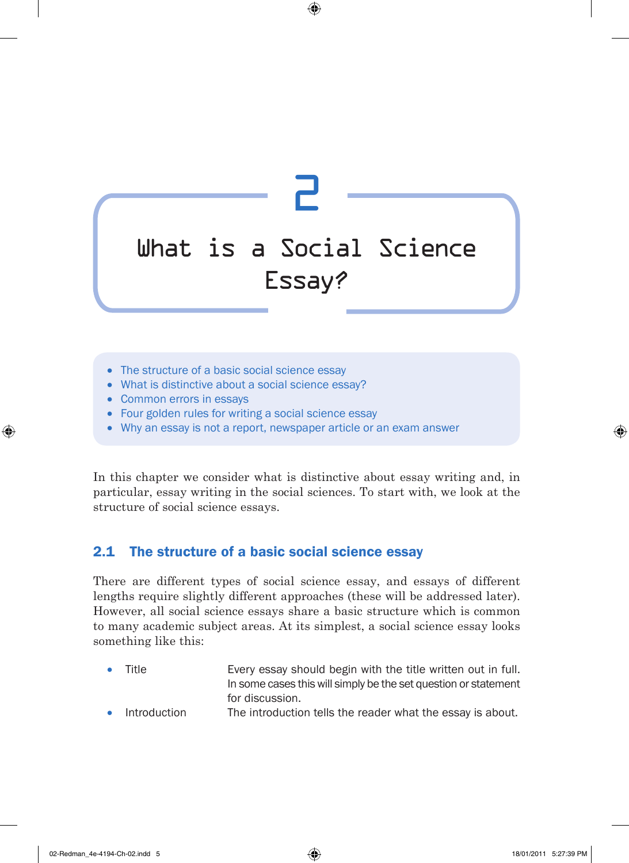# What is a Social Science Essay?

2

 $\bigoplus$ 

- The structure of a basic social science essay
- What is distinctive about a social science essay?
- Common errors in essays

⊕

- Four golden rules for writing a social science essay
- Why an essay is not a report, newspaper article or an exam answer

In this chapter we consider what is distinctive about essay writing and, in particular, essay writing in the social sciences. To start with, we look at the structure of social science essays.

# 2.1 The structure of a basic social science essay

There are different types of social science essay, and essays of different lengths require slightly different approaches (these will be addressed later). However, all social science essays share a basic structure which is common to many academic subject areas. At its simplest, a social science essay looks something like this:

- Title Every essay should begin with the title written out in full. In some cases this will simply be the set question or statement for discussion.
- Introduction The introduction tells the reader what the essay is about.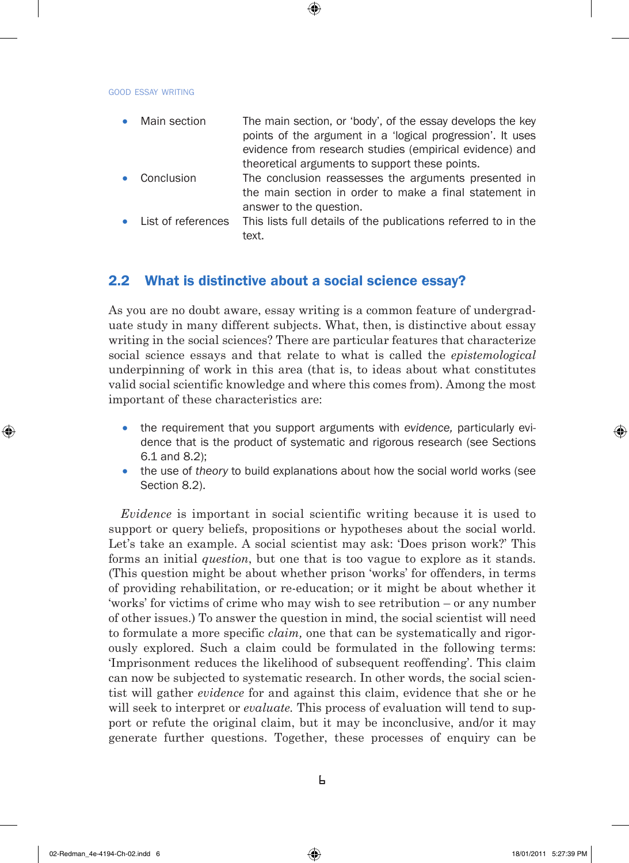| Main section         | The main section, or 'body', of the essay develops the key<br>points of the argument in a 'logical progression'. It uses<br>evidence from research studies (empirical evidence) and |
|----------------------|-------------------------------------------------------------------------------------------------------------------------------------------------------------------------------------|
| Conclusion           | theoretical arguments to support these points.<br>The conclusion reassesses the arguments presented in<br>the main section in order to make a final statement in                    |
| • List of references | answer to the question.<br>This lists full details of the publications referred to in the<br>text.                                                                                  |

 $\textcircled{\scriptsize{*}}$ 

# 2.2 What is distinctive about a social science essay?

As you are no doubt aware, essay writing is a common feature of undergraduate study in many different subjects. What, then, is distinctive about essay writing in the social sciences? There are particular features that characterize social science essays and that relate to what is called the *epistemological*  underpinning of work in this area (that is, to ideas about what constitutes valid social scientific knowledge and where this comes from). Among the most important of these characteristics are:

- the requirement that you support arguments with *evidence,* particularly evidence that is the product of systematic and rigorous research (see Sections 6.1 and 8.2);
- the use of *theory* to build explanations about how the social world works (see Section 8.2).

*Evidence* is important in social scientific writing because it is used to support or query beliefs, propositions or hypotheses about the social world. Let's take an example. A social scientist may ask: 'Does prison work?' This forms an initial *question*, but one that is too vague to explore as it stands. (This question might be about whether prison 'works' for offenders, in terms of providing rehabilitation, or re-education; or it might be about whether it 'works' for victims of crime who may wish to see retribution – or any number of other issues.) To answer the question in mind, the social scientist will need to formulate a more specific *claim,* one that can be systematically and rigorously explored. Such a claim could be formulated in the following terms: 'Imprisonment reduces the likelihood of subsequent reoffending'. This claim can now be subjected to systematic research. In other words, the social scientist will gather *evidence* for and against this claim, evidence that she or he will seek to interpret or *evaluate.* This process of evaluation will tend to support or refute the original claim, but it may be inconclusive, and/or it may generate further questions. Together, these processes of enquiry can be

⊕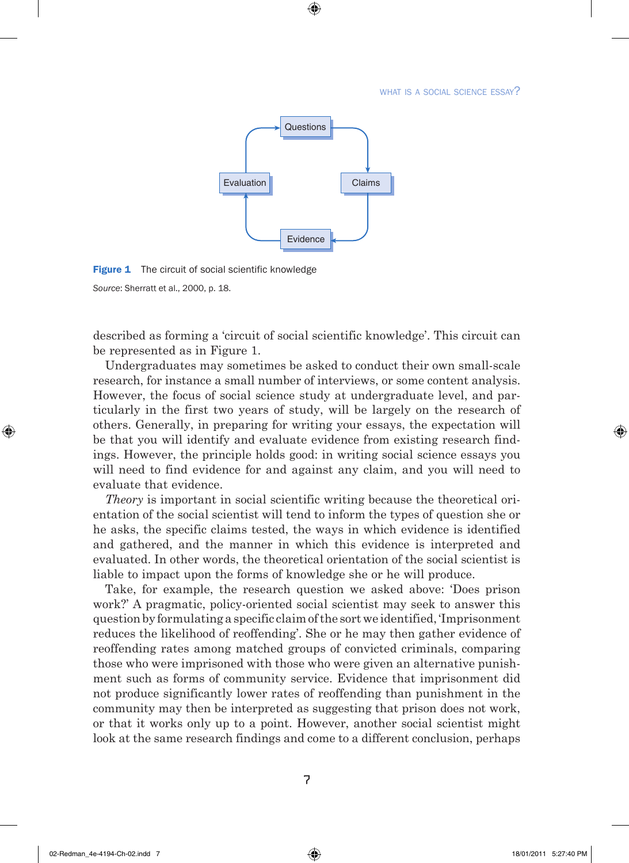$\textcircled{\scriptsize{*}}$ 

WHAT IS A SOCIAL SCIENCE ESSAY?



Figure 1 The circuit of social scientific knowledge

*Source*: Sherratt et al., 2000, p. 18.

described as forming a 'circuit of social scientific knowledge'. This circuit can be represented as in Figure 1.

Undergraduates may sometimes be asked to conduct their own small-scale research, for instance a small number of interviews, or some content analysis. However, the focus of social science study at undergraduate level, and particularly in the first two years of study, will be largely on the research of others. Generally, in preparing for writing your essays, the expectation will be that you will identify and evaluate evidence from existing research findings. However, the principle holds good: in writing social science essays you will need to find evidence for and against any claim, and you will need to evaluate that evidence.

*Theory* is important in social scientific writing because the theoretical orientation of the social scientist will tend to inform the types of question she or he asks, the specific claims tested, the ways in which evidence is identified and gathered, and the manner in which this evidence is interpreted and evaluated. In other words, the theoretical orientation of the social scientist is liable to impact upon the forms of knowledge she or he will produce.

Take, for example, the research question we asked above: 'Does prison work?' A pragmatic, policy-oriented social scientist may seek to answer this question by formulating a specific claim of the sort we identified, 'Imprisonment reduces the likelihood of reoffending'. She or he may then gather evidence of reoffending rates among matched groups of convicted criminals, comparing those who were imprisoned with those who were given an alternative punishment such as forms of community service. Evidence that imprisonment did not produce significantly lower rates of reoffending than punishment in the community may then be interpreted as suggesting that prison does not work, or that it works only up to a point. However, another social scientist might look at the same research findings and come to a different conclusion, perhaps

⊕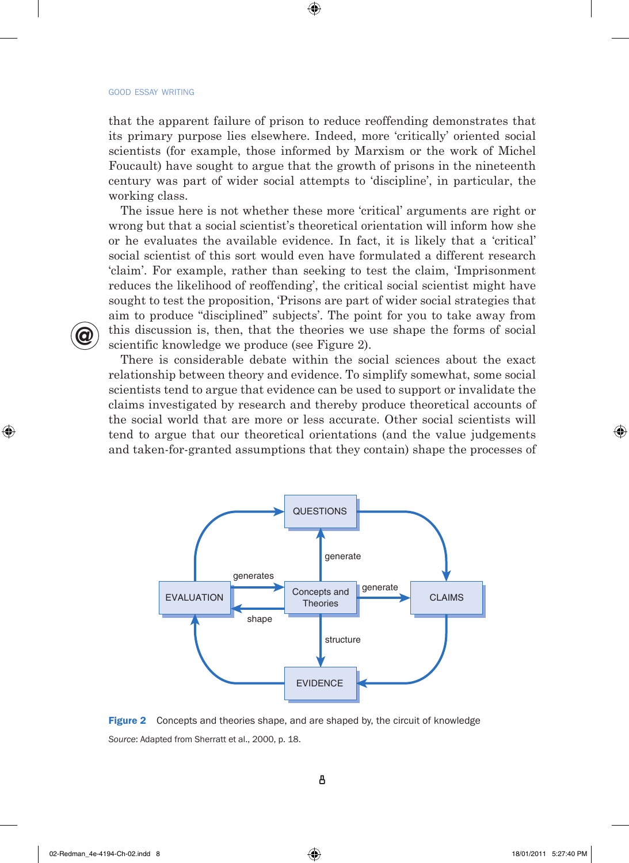@

⊕

that the apparent failure of prison to reduce reoffending demonstrates that its primary purpose lies elsewhere. Indeed, more 'critically' oriented social scientists (for example, those informed by Marxism or the work of Michel Foucault) have sought to argue that the growth of prisons in the nineteenth century was part of wider social attempts to 'discipline', in particular, the working class.

 $\textcircled{\scriptsize{*}}$ 

The issue here is not whether these more 'critical' arguments are right or wrong but that a social scientist's theoretical orientation will inform how she or he evaluates the available evidence. In fact, it is likely that a 'critical' social scientist of this sort would even have formulated a different research 'claim'. For example, rather than seeking to test the claim, 'Imprisonment reduces the likelihood of reoffending', the critical social scientist might have sought to test the proposition, 'Prisons are part of wider social strategies that aim to produce "disciplined" subjects'. The point for you to take away from this discussion is, then, that the theories we use shape the forms of social scientific knowledge we produce (see Figure 2).

There is considerable debate within the social sciences about the exact relationship between theory and evidence. To simplify somewhat, some social scientists tend to argue that evidence can be used to support or invalidate the claims investigated by research and thereby produce theoretical accounts of the social world that are more or less accurate. Other social scientists will tend to argue that our theoretical orientations (and the value judgements and taken-for-granted assumptions that they contain) shape the processes of



**Figure 2** Concepts and theories shape, and are shaped by, the circuit of knowledge *Source*: Adapted from Sherratt et al., 2000, p. 18.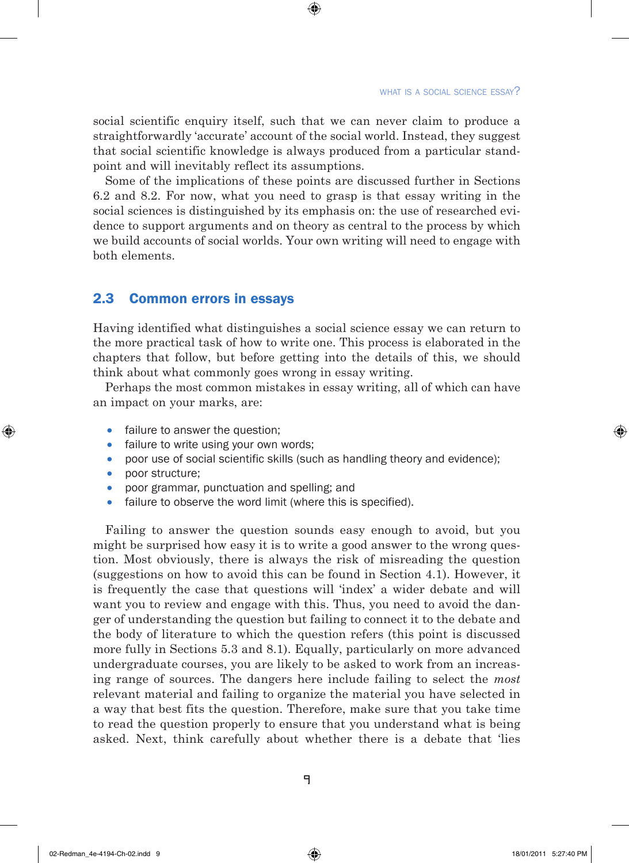social scientific enquiry itself, such that we can never claim to produce a straightforwardly 'accurate' account of the social world. Instead, they suggest that social scientific knowledge is always produced from a particular standpoint and will inevitably reflect its assumptions.

 $\textcircled{\scriptsize{*}}$ 

Some of the implications of these points are discussed further in Sections 6.2 and 8.2. For now, what you need to grasp is that essay writing in the social sciences is distinguished by its emphasis on: the use of researched evidence to support arguments and on theory as central to the process by which we build accounts of social worlds. Your own writing will need to engage with both elements.

# 2.3 Common errors in essays

Having identified what distinguishes a social science essay we can return to the more practical task of how to write one. This process is elaborated in the chapters that follow, but before getting into the details of this, we should think about what commonly goes wrong in essay writing.

Perhaps the most common mistakes in essay writing, all of which can have an impact on your marks, are:

- failure to answer the question;
- failure to write using your own words;
- poor use of social scientific skills (such as handling theory and evidence);
- poor structure;

⊕

- poor grammar, punctuation and spelling; and
- failure to observe the word limit (where this is specified).

Failing to answer the question sounds easy enough to avoid, but you might be surprised how easy it is to write a good answer to the wrong question. Most obviously, there is always the risk of misreading the question (suggestions on how to avoid this can be found in Section 4.1). However, it is frequently the case that questions will 'index' a wider debate and will want you to review and engage with this. Thus, you need to avoid the danger of understanding the question but failing to connect it to the debate and the body of literature to which the question refers (this point is discussed more fully in Sections 5.3 and 8.1). Equally, particularly on more advanced undergraduate courses, you are likely to be asked to work from an increasing range of sources. The dangers here include failing to select the *most* relevant material and failing to organize the material you have selected in a way that best fits the question. Therefore, make sure that you take time to read the question properly to ensure that you understand what is being asked. Next, think carefully about whether there is a debate that 'lies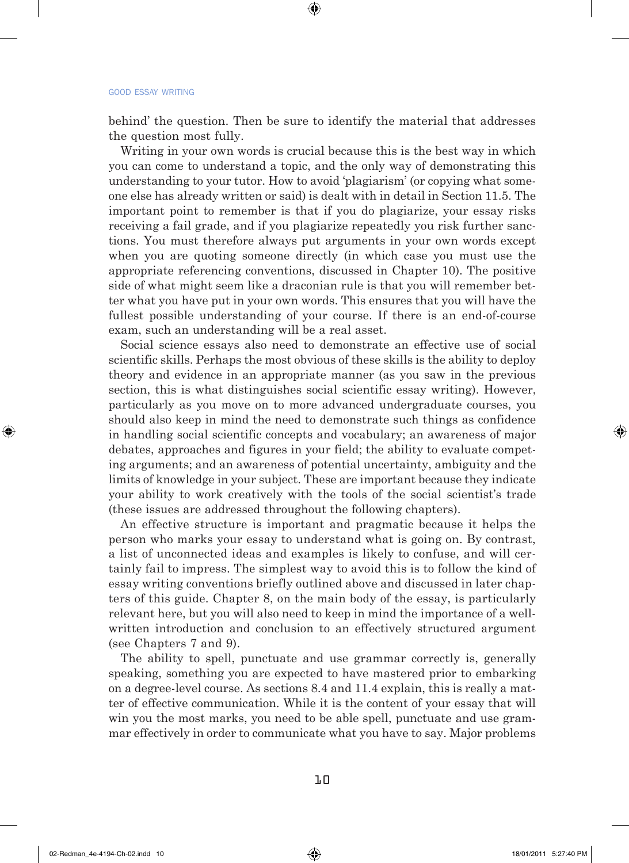behind' the question. Then be sure to identify the material that addresses the question most fully.

 $\textcircled{\scriptsize{*}}$ 

Writing in your own words is crucial because this is the best way in which you can come to understand a topic, and the only way of demonstrating this understanding to your tutor. How to avoid 'plagiarism' (or copying what someone else has already written or said) is dealt with in detail in Section 11.5. The important point to remember is that if you do plagiarize, your essay risks receiving a fail grade, and if you plagiarize repeatedly you risk further sanctions. You must therefore always put arguments in your own words except when you are quoting someone directly (in which case you must use the appropriate referencing conventions, discussed in Chapter 10). The positive side of what might seem like a draconian rule is that you will remember better what you have put in your own words. This ensures that you will have the fullest possible understanding of your course. If there is an end-of-course exam, such an understanding will be a real asset.

Social science essays also need to demonstrate an effective use of social scientific skills. Perhaps the most obvious of these skills is the ability to deploy theory and evidence in an appropriate manner (as you saw in the previous section, this is what distinguishes social scientific essay writing). However, particularly as you move on to more advanced undergraduate courses, you should also keep in mind the need to demonstrate such things as confidence in handling social scientific concepts and vocabulary; an awareness of major debates, approaches and figures in your field; the ability to evaluate competing arguments; and an awareness of potential uncertainty, ambiguity and the limits of knowledge in your subject. These are important because they indicate your ability to work creatively with the tools of the social scientist's trade (these issues are addressed throughout the following chapters).

An effective structure is important and pragmatic because it helps the person who marks your essay to understand what is going on. By contrast, a list of unconnected ideas and examples is likely to confuse, and will certainly fail to impress. The simplest way to avoid this is to follow the kind of essay writing conventions briefly outlined above and discussed in later chapters of this guide. Chapter 8, on the main body of the essay, is particularly relevant here, but you will also need to keep in mind the importance of a wellwritten introduction and conclusion to an effectively structured argument (see Chapters 7 and 9).

The ability to spell, punctuate and use grammar correctly is, generally speaking, something you are expected to have mastered prior to embarking on a degree-level course. As sections 8.4 and 11.4 explain, this is really a matter of effective communication. While it is the content of your essay that will win you the most marks, you need to be able spell, punctuate and use grammar effectively in order to communicate what you have to say. Major problems

⊕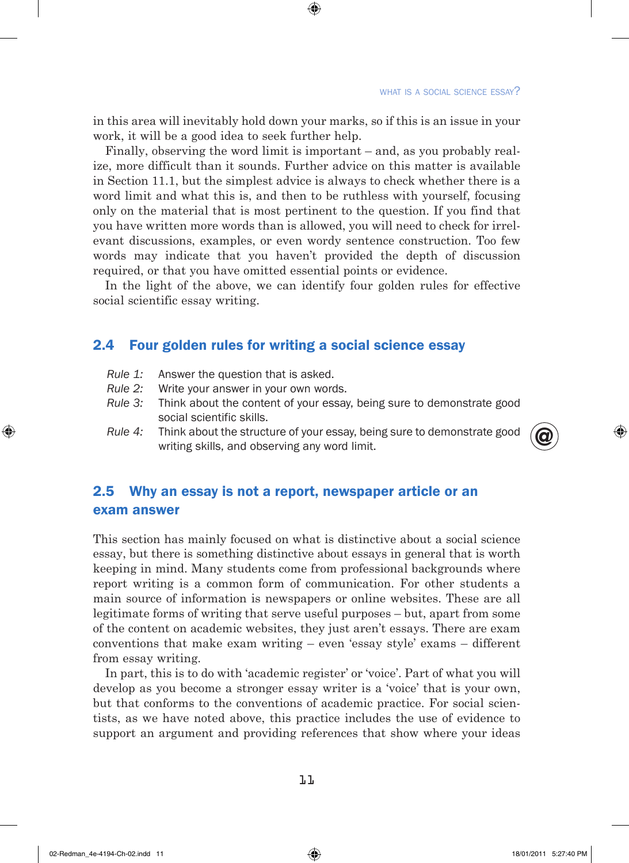in this area will inevitably hold down your marks, so if this is an issue in your work, it will be a good idea to seek further help.

 $\textcircled{\scriptsize{*}}$ 

Finally, observing the word limit is important – and, as you probably realize, more difficult than it sounds. Further advice on this matter is available in Section 11.1, but the simplest advice is always to check whether there is a word limit and what this is, and then to be ruthless with yourself, focusing only on the material that is most pertinent to the question. If you find that you have written more words than is allowed, you will need to check for irrelevant discussions, examples, or even wordy sentence construction. Too few words may indicate that you haven't provided the depth of discussion required, or that you have omitted essential points or evidence.

In the light of the above, we can identify four golden rules for effective social scientific essay writing.

# 2.4 Four golden rules for writing a social science essay

- *Rule 1:* Answer the question that is asked.
- *Rule 2:* Write your answer in your own words.
- *Rule 3:* Think about the content of your essay, being sure to demonstrate good social scientific skills.
- *Rule 4:* Think about the structure of your essay, being sure to demonstrate good writing skills, and observing any word limit.

# 2.5 Why an essay is not a report, newspaper article or an exam answer

This section has mainly focused on what is distinctive about a social science essay, but there is something distinctive about essays in general that is worth keeping in mind. Many students come from professional backgrounds where report writing is a common form of communication. For other students a main source of information is newspapers or online websites. These are all legitimate forms of writing that serve useful purposes – but, apart from some of the content on academic websites, they just aren't essays. There are exam conventions that make exam writing – even 'essay style' exams – different from essay writing.

In part, this is to do with 'academic register' or 'voice'. Part of what you will develop as you become a stronger essay writer is a 'voice' that is your own, but that conforms to the conventions of academic practice. For social scientists, as we have noted above, this practice includes the use of evidence to support an argument and providing references that show where your ideas

♠

@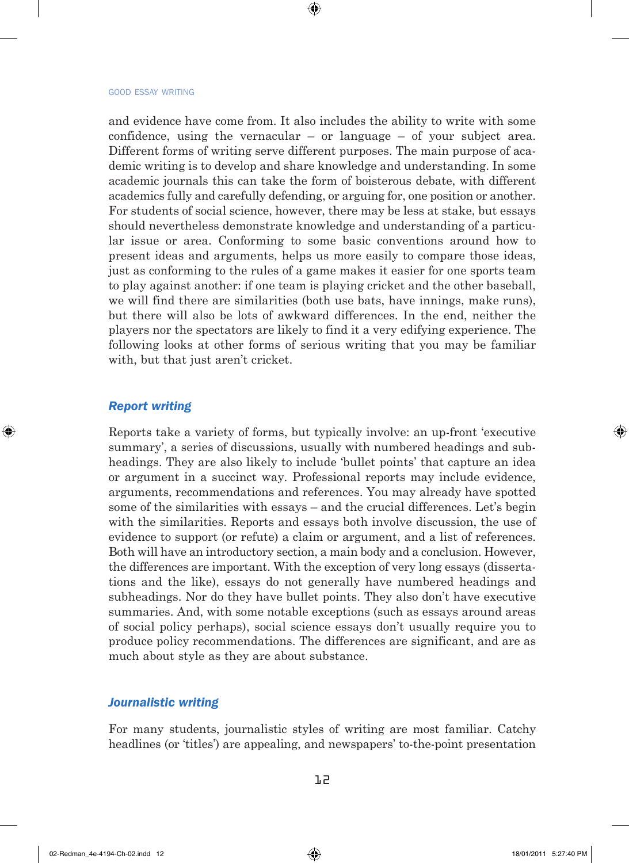and evidence have come from. It also includes the ability to write with some confidence, using the vernacular  $-$  or language  $-$  of your subject area. Different forms of writing serve different purposes. The main purpose of academic writing is to develop and share knowledge and understanding. In some academic journals this can take the form of boisterous debate, with different academics fully and carefully defending, or arguing for, one position or another. For students of social science, however, there may be less at stake, but essays should nevertheless demonstrate knowledge and understanding of a particular issue or area. Conforming to some basic conventions around how to present ideas and arguments, helps us more easily to compare those ideas, just as conforming to the rules of a game makes it easier for one sports team to play against another: if one team is playing cricket and the other baseball, we will find there are similarities (both use bats, have innings, make runs), but there will also be lots of awkward differences. In the end, neither the players nor the spectators are likely to find it a very edifying experience. The following looks at other forms of serious writing that you may be familiar with, but that just aren't cricket.

 $\textcircled{\scriptsize{*}}$ 

## *Report writing*

⊕

Reports take a variety of forms, but typically involve: an up-front 'executive summary', a series of discussions, usually with numbered headings and subheadings. They are also likely to include 'bullet points' that capture an idea or argument in a succinct way. Professional reports may include evidence, arguments, recommendations and references. You may already have spotted some of the similarities with essays – and the crucial differences. Let's begin with the similarities. Reports and essays both involve discussion, the use of evidence to support (or refute) a claim or argument, and a list of references. Both will have an introductory section, a main body and a conclusion. However, the differences are important. With the exception of very long essays (dissertations and the like), essays do not generally have numbered headings and subheadings. Nor do they have bullet points. They also don't have executive summaries. And, with some notable exceptions (such as essays around areas of social policy perhaps), social science essays don't usually require you to produce policy recommendations. The differences are significant, and are as much about style as they are about substance.

## *Journalistic writing*

For many students, journalistic styles of writing are most familiar. Catchy headlines (or 'titles') are appealing, and newspapers' to-the-point presentation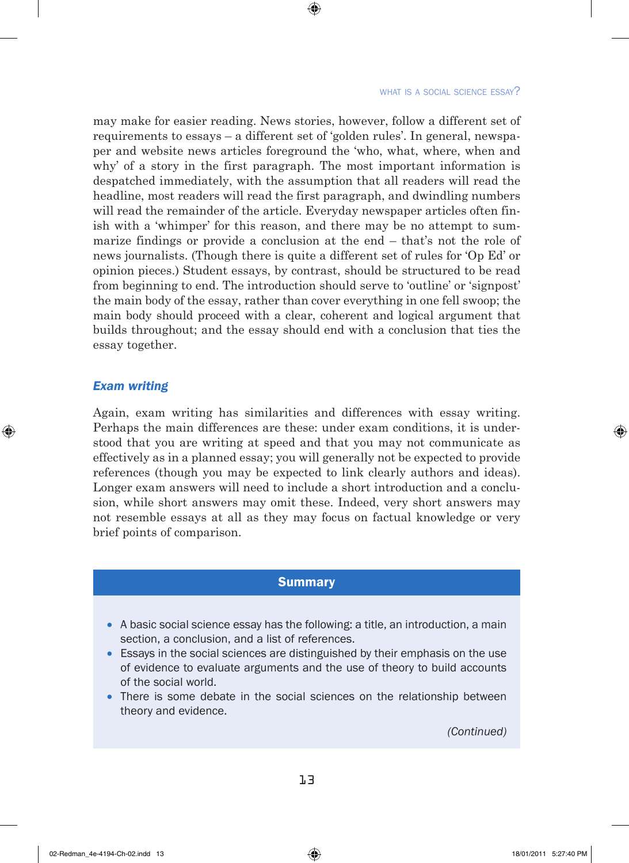may make for easier reading. News stories, however, follow a different set of requirements to essays – a different set of 'golden rules'. In general, newspaper and website news articles foreground the 'who, what, where, when and why' of a story in the first paragraph. The most important information is despatched immediately, with the assumption that all readers will read the headline, most readers will read the first paragraph, and dwindling numbers will read the remainder of the article. Everyday newspaper articles often finish with a 'whimper' for this reason, and there may be no attempt to summarize findings or provide a conclusion at the end – that's not the role of news journalists. (Though there is quite a different set of rules for 'Op Ed' or opinion pieces.) Student essays, by contrast, should be structured to be read from beginning to end. The introduction should serve to 'outline' or 'signpost' the main body of the essay, rather than cover everything in one fell swoop; the main body should proceed with a clear, coherent and logical argument that builds throughout; and the essay should end with a conclusion that ties the essay together.

 $\textcircled{\scriptsize{*}}$ 

## *Exam writing*

⊕

Again, exam writing has similarities and differences with essay writing. Perhaps the main differences are these: under exam conditions, it is understood that you are writing at speed and that you may not communicate as effectively as in a planned essay; you will generally not be expected to provide references (though you may be expected to link clearly authors and ideas). Longer exam answers will need to include a short introduction and a conclusion, while short answers may omit these. Indeed, very short answers may not resemble essays at all as they may focus on factual knowledge or very brief points of comparison.

## Summary

- A basic social science essay has the following: a title, an introduction, a main section, a conclusion, and a list of references.
- Essays in the social sciences are distinguished by their emphasis on the use of evidence to evaluate arguments and the use of theory to build accounts of the social world.
- There is some debate in the social sciences on the relationship between theory and evidence.

*(Continued)*